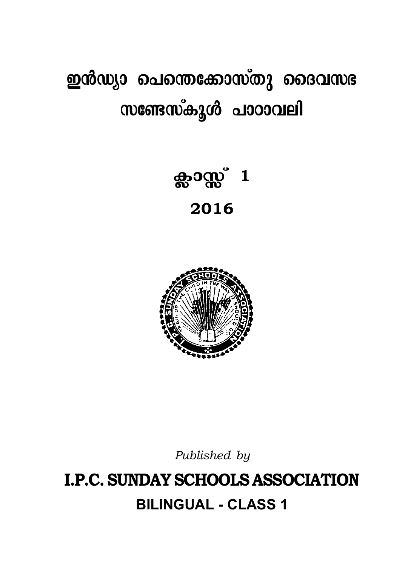# ഇൻഡ്യാ പെന്തെക്കോസ്തു ദൈവസഭ സണ്ടേസ്കൂൾ പാഠാവലി

ക്ലാസ്സ് $1$ 2016



Published by

# **I.P.C. SUNDAY SCHOOLS ASSOCIATION BILINGUAL - CLASS 1**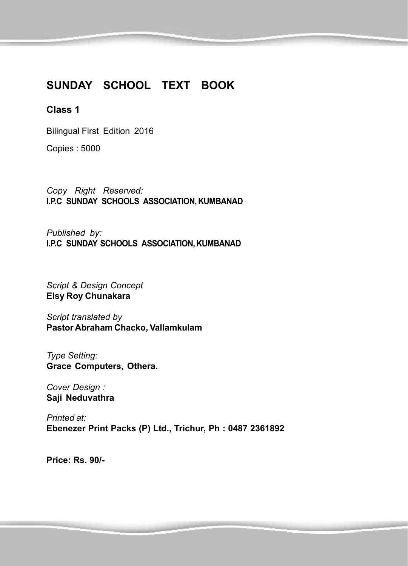#### **SUNDAY SCHOOL TEXT BOOK**

#### **Class 1**

Bilingual First Edition 2016

Copies : 5000

*Copy Right Reserved:* **I.P.C SUNDAY SCHOOLS ASSOCIATION, KUMBANAD**

*Published by:* **I.P.C SUNDAY SCHOOLS ASSOCIATION, KUMBANAD**

*Script & Design Concept* **Elsy Roy Chunakara**

*Script translated by* **Pastor Abraham Chacko, Vallamkulam**

*Type Setting:* **Grace Computers, Othera.**

*Cover Design :* **Saji Neduvathra**

*Printed at:* **Ebenezer Print Packs (P) Ltd., Trichur, Ph : 0487 2361892**

**Price: Rs. 90/-**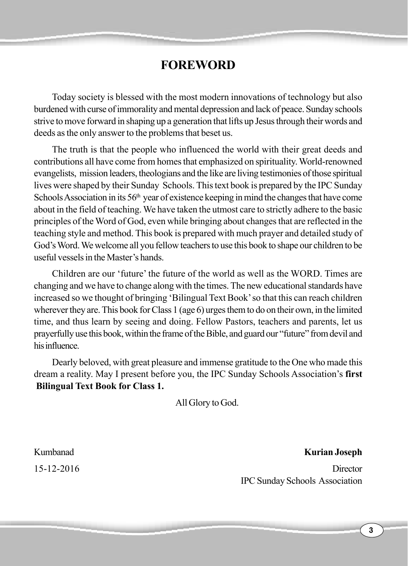## **FOREWORD**

Today society is blessed with the most modern innovations of technology but also burdened with curse of immorality and mental depression and lack of peace. Sunday schools strive to move forward in shaping up a generation that lifts up Jesus through their words and deeds as the only answer to the problems that beset us.

The truth is that the people who influenced the world with their great deeds and contributions all have come from homes that emphasized on spirituality. World-renowned evangelists, mission leaders, theologians and the like are living testimonies of those spiritual lives were shaped by their Sunday Schools. This text book is prepared by the IPC Sunday Schools Association in its  $56<sup>th</sup>$  year of existence keeping in mind the changes that have come about in the field of teaching. We have taken the utmost care to strictly adhere to the basic principles of the Word of God, even while bringing about changes that are reflected in the teaching style and method. This book is prepared with much prayer and detailed study of God's Word. We welcome all you fellow teachers to use this book to shape our children to be useful vessels in the Master's hands.

Children are our 'future' the future of the world as well as the WORD. Times are changing and we have to change along with the times. The new educational standards have increased so we thought of bringing 'Bilingual Text Book' so that this can reach children wherever they are. This book for Class 1 (age 6) urges them to do on their own, in the limited time, and thus learn by seeing and doing. Fellow Pastors, teachers and parents, let us prayerfully use this book, within the frame of the Bible, and guard our "future" from devil and his influence.

Dearly beloved, with great pleasure and immense gratitude to the One who made this dream a reality. May I present before you, the IPC Sunday Schools Association's **first Bilingual Text Book for Class 1.**

All Glory to God.

Kumbanad **Kurian Joseph** 15-12-2016 Director IPC Sunday Schools Association

**3**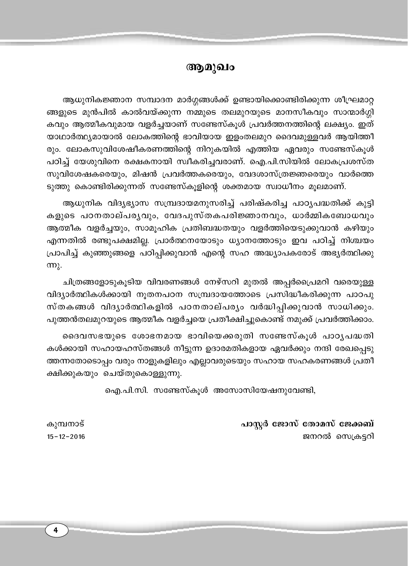### ആമുഖം

ആധുനികജ്ഞാന സമ്പാദന മാർഗ്ഗങ്ങൾക്ക് ഉണ്ടായിക്കൊണ്ടിരിക്കുന്ന ശീഘ്രമാറ്റ ങ്ങളുടെ മുൻപിൽ കാൽവയ്ക്കുന്ന നമ്മുടെ തലമുറയുടെ മാനസീകവും സാന്മാർഗ്ഗി കവും ആത്മീകവുമായ വളർച്ചയാണ് സണ്ടേസ്കൂൾ പ്രവർത്തനത്തിന്റെ ലക്ഷ്യം. ഇത് യാഥാർത്ഥ്യമായാൽ ലോകത്തിന്റെ ഭാവിയായ ഇളംതലമുറ ദൈവമുള്ളവർ ആയിത്തീ രും. ലോകസുവിശേഷീകരണത്തിന്റെ നിറുകയിൽ എത്തിയ ഏവരും സണ്ടേസ്കൂൾ പഠിച്ച് യേശുവിനെ രക്ഷകനായി സ്വീകരിച്ചവരാണ്. ഐ.പി.സിയിൽ ലോകപ്രശസ്ത സുവിശേഷകരെയും, മിഷൻ പ്രവർത്തകരെയും, വേദശാസ്ത്രജ്ഞരെയും വാർത്തെ ടുത്തു കൊണ്ടിരിക്കുന്നത് സണ്ടേസ്കൂളിന്റെ ശക്തമായ സ്വാധീനം മൂലമാണ്.

ആധുനിക വിദ്യഭ്യാസ സമ്പ്രദായമനുസരിച്ച് പരിഷ്കരിച്ച പാഠ്യപദ്ധതിക്ക് കുട്ടി കളുടെ പഠനതാല്പര്യവും, വേദപുസ്തകപരിജ്ഞാനവും, ധാർമ്മികബോധവും ആത്മീക വളർച്ചയും, സാമൂഹിക പ്രതിബദ്ധതയും വളർത്തിയെടുക്കുവാൻ കഴിയും എന്നതിൽ രണ്ടുപക്ഷമില്ല. പ്രാർത്ഥനയോടും ധ്യാനത്തോടും ഇവ പഠിച്ച് നിശ്ചയം പ്രാപിച്ച് കുഞ്ഞുങ്ങളെ പഠിപ്പിക്കുവാൻ എന്റെ സഹ അദ്ധ്യാപകരോട് അഭ്യർത്ഥിക്കു  $m<sub>λ</sub>$ .

ചിത്രങ്ങളോടുകൂടിയ വിവരണങ്ങൾ നേഴ്സറി മുതൽ അപ്പർപ്രൈമറി വരെയുള്ള വിദ്യാർത്ഥികൾക്കായി നൂതനപഠന സമ്പ്രദായത്തോടെ പ്രസിദ്ധീകരിക്കുന്ന പാഠപു സ്തകങ്ങൾ വിദ്യാർത്ഥികളിൽ പഠനതാല്പര്യം വർദ്ധിപ്പിക്കുവാൻ സാധിക്കും. പുത്തൻതലമുറയുടെ ആത്മീക വളർച്ചയെ പ്രതീക്ഷിച്ചുകൊണ്ട് നമുക്ക് പ്രവർത്തിക്കാം.

ദൈവസഭയുടെ ശോഭനമായ ഭാവിയെക്കരുതി സണ്ടേസ്കൂൾ പാഠൃപദ്ധതി കൾക്കായി സഹായഹസ്തങ്ങൾ നീട്ടുന്ന ഉദാരമതികളായ ഏവർക്കും നന്ദി രേഖപ്പെടു ത്തന്നതോടൊപ്പം വരും നാളുകളിലും എല്ലാവരുടെയും സഹായ സഹകരണങ്ങൾ പ്രതീ ക്ഷിക്കുകയും ചെയ്തുകൊള്ളുന്നു.

ഐ.പി.സി. സണ്ടേസ്കൂൾ അസോസിയേഷനുവേണ്ടി,

പാസ്റ്റർ ജോസ് തോമസ് ജേക്കബ് ജനറൽ സെക്രട്ടറി

കുമ്പനാട്  $15 - 12 - 2016$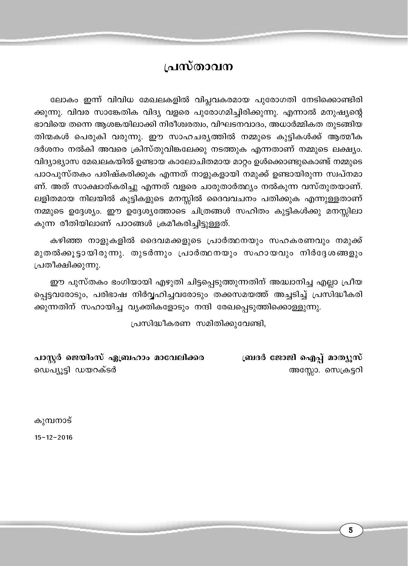### പ്രസ്താവന

ലോകം ഇന്ന് വിവിധ മേഖലകളിൽ വിപ്ലവകരമായ പുരോഗതി നേടിക്കൊണ്ടിരി ക്കുന്നു. വിവര സാങ്കേതിക വിദ്യ വളരെ പുരോഗമിച്ചിരിക്കുന്നു. എന്നാൽ മനുഷ്യന്റെ ഭാവിയെ തന്നെ ആശങ്കയിലാക്കി നിരീശ്വരത്വം, വിഘടനവാദം, അധാർമ്മികത തുടങ്ങിയ തിന്മകൾ പെരുകി വരുന്നു. ഈ സാഹചര്യത്തിൽ നമ്മുടെ കുട്ടികൾക്ക് ആത്മീക ദർശനം നൽകി അവരെ ക്രിസ്തുവിങ്കലേക്കു നടത്തുക എന്നതാണ് നമ്മുടെ ലക്ഷ്യം. വിദ്യാഭ്യാസ മേഖലകയിൽ ഉണ്ടായ കാലോചിതമായ മാറ്റം ഉൾക്കൊണ്ടുകൊണ്ട് നമ്മുടെ പാഠപുസ്തകം പരിഷ്കരിക്കുക എന്നത് നാളുകളായി നമുക്ക് ഉണ്ടായിരുന്ന സ്വപ്നമാ ണ്. അത് സാക്ഷാത്കരിച്ചു എന്നത് വളരെ ചാരുതാർത്ഥ്യം നൽകുന്ന വസ്തുതയാണ്. ലളിതമായ നിലയിൽ കുട്ടികളുടെ മനസ്സിൽ ദൈവവചനം പതിക്കുക എന്നുള്ളതാണ് നമ്മുടെ ഉദ്ദേശ്യം. ഈ ഉദ്ദേശ്യത്തോടെ ചിത്രങ്ങൾ സഹിതം കുട്ടികൾക്കു മനസ്സിലാ കുന്ന രീതിയിലാണ് പാഠങ്ങൾ ക്രമീകരിച്ചിട്ടുള്ളത്.

കഴിഞ്ഞ നാളുകളിൽ ദൈവമക്കളുടെ പ്രാർത്ഥനയും സഹകരണവും നമുക്ക് മുതൽക്കൂട്ടായിരുന്നു. തുടർന്നും പ്രാർത്ഥനയും സഹായവും നിർദ്ദേശങ്ങളും പ്രതീക്ഷിക്കുന്നു.

ഈ പുസ്തകം ഭംഗിയായി എഴുതി ചിട്ടപ്പെടുത്തുന്നതിന് അദ്ധാനിച്ച എല്ലാ പ്രീയ പ്പെട്ടവരോടും, പരിഭാഷ നിർവ്വഹിച്ചവരോടും തക്കസമയത്ത് അച്ചടിച്ച് പ്രസിദ്ധീകരി ക്കുന്നതിന് സഹായിച്ച വ്യക്തികളോടും നന്ദി രേഖപ്പെടുത്തിക്കൊള്ളുന്നു.

പ്രസിദ്ധീകരണ സമിതിക്കുവേണ്ടി,

പാസ്റ്റർ ജെയിംസ് ഏബ്രഹാം മാവേലിക്കര ബ്രദർ ജോജി ഐപ്പ് മാത്യൂസ് ഡെപ്യൂട്ടി ഡയറക്ടർ അസ്സോ. സെക്രട്ടറി

കുമ്പനാട്

 $15 - 12 - 2016$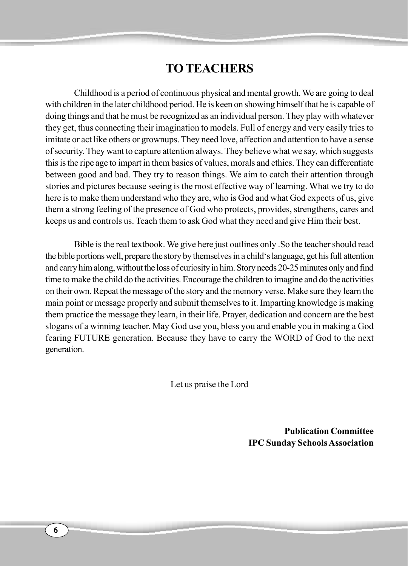### **TO TEACHERS**

Childhood is a period of continuous physical and mental growth. We are going to deal with children in the later childhood period. He is keen on showing himself that he is capable of doing things and that he must be recognized as an individual person. They play with whatever they get, thus connecting their imagination to models. Full of energy and very easily tries to imitate or act like others or grownups. They need love, affection and attention to have a sense of security. They want to capture attention always. They believe what we say, which suggests this is the ripe age to impart in them basics of values, morals and ethics. They can differentiate between good and bad. They try to reason things. We aim to catch their attention through stories and pictures because seeing is the most effective way of learning. What we try to do here is to make them understand who they are, who is God and what God expects of us, give them a strong feeling of the presence of God who protects, provides, strengthens, cares and keeps us and controls us. Teach them to ask God what they need and give Him their best.

Bible is the real textbook. We give here just outlines only .So the teacher should read the bible portions well, prepare the story by themselves in a child's language, get his full attention and carry him along, without the loss of curiosity in him. Story needs 20-25 minutes only and find time to make the child do the activities. Encourage the children to imagine and do the activities on their own. Repeat the message of the story and the memory verse. Make sure they learn the main point or message properly and submit themselves to it. Imparting knowledge is making them practice the message they learn, in their life. Prayer, dedication and concern are the best slogans of a winning teacher. May God use you, bless you and enable you in making a God fearing FUTURE generation. Because they have to carry the WORD of God to the next generation.

Let us praise the Lord

**Publication Committee IPC Sunday Schools Association**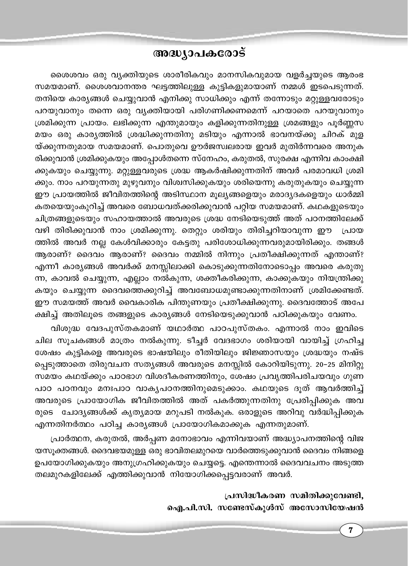### അദ്ധ്യാപകരോട്

ശൈശവം ഒരു വ്യക്തിയുടെ ശാരീരികവും മാനസികവുമായ വളർച്ചയുടെ ആരംഭ സമയമാണ്. ശൈശവാനന്തര ഘട്ടത്തിലുള്ള കുട്ടികളുമായാണ് നമ്മൾ ഇടപെടുന്നത്. തനിയെ കാര്യങ്ങൾ ചെയ്യുവാൻ എനിക്കു സാധിക്കും എന്ന് തന്നോടും മറ്റുള്ളവരോടും പറയുവാനും തന്നെ ഒരു വ്യക്തിയായി പരിഗണിക്കണമെന്ന് പറയാതെ പറയുവാനും ശ്രമിക്കുന്ന പ്രായം. ലഭിക്കുന്ന എന്തുമായും കളിക്കുന്നതിനുള്ള ശ്രമങ്ങളും പൂർണ്ണസ മയം ഒരു കാര്യത്തിൽ ശ്രദ്ധിക്കുന്നതിനു മടിയും എന്നാൽ ഭാവനയ്ക്കു ചിറക് മുള യ്ക്കുന്നതുമായ സമയമാണ്. പൊതുവെ ഊർജസ്വലരായ ഇവർ മുതിർന്നവരെ അനുക രിക്കുവാൻ ശ്രമിക്കുകയും അപ്പോൾതന്നെ സ്നേഹം, കരുതൽ, സുരക്ഷ എന്നിവ കാംക്ഷി ക്കുകയും ചെയ്യുന്നു. മറ്റുള്ളവരുടെ ശ്രദ്ധ ആകർഷിക്കുന്നതിന് അവർ പരമാവധി ശ്രമി ക്കും. നാം പറയുന്നതു മുഴുവനും വിശ്വസിക്കുകയും ശരിയെന്നു കരുതുകയും ചെയ്യുന്ന ഈ പ്രായത്തിൽ ജീവിതത്തിന്റെ അടിസ്ഥാന മൂല്യങ്ങളെയും മരാദ്യദകളെയും ധാർമ്മി കതയെയുംകുറിച്ച് അവരെ ബോധവത്ക്കരിക്കുവാൻ പറ്റിയ സമയമാണ്. കഥകളുടെയും ചിത്രങ്ങളുടെയും സഹായത്താൽ അവരുടെ ശ്രദ്ധ നേടിയെടുത്ത് അത് പഠനത്തിലേക്ക് വഴി തിരിക്കുവാൻ നാം ശ്രമിക്കുന്നു. തെറ്റും ശരിയും തിരിച്ചറിയാവുന്ന ഈ പ്രായ ത്തിൽ അവർ നല്ല കേൾവിക്കാരും കേട്ടതു പരിശോധിക്കുന്നവരുമായിരിക്കും. തങ്ങൾ ആരാണ്? ദൈവം ആരാണ്? ദൈവം നമ്മിൽ നിന്നും പ്രതീക്ഷിക്കുന്നത് എന്താണ്? എന്നീ കാര്യങ്ങൾ അവർക്ക് മനസ്സിലാക്കി കൊടുക്കുന്നതിനോടൊപ്പം അവരെ കരുതു ന്ന, കാവൽ ചെയ്യുന്ന, എല്ലാം നൽകുന്ന, ശക്തീകരിക്കുന്ന, കാക്കുകയും നിയന്ത്രിക്കു കയും ചെയ്യുന്ന ദൈവത്തെക്കുറിച്ച് അവബോധമുണ്ടാക്കുന്നതിനാണ് ശ്രമിക്കേണ്ടത്. ഈ സമയത്ത് അവർ വൈകാരിക പിന്തുണയും പ്രതീക്ഷിക്കുന്നു. ദൈവത്തോട് അപേ ക്ഷിച്ച് അതിലൂടെ തങ്ങളുടെ കാര്യങ്ങൾ നേടിയെടുക്കുവാൻ പഠിക്കുകയും വേണം.

വിശുദ്ധ വേദപുസ്തകമാണ് യഥാർത്ഥ പാഠപുസ്തകം. എന്നാൽ നാം ഇവിടെ ചില സൂചകങ്ങൾ മാത്രം നൽകുന്നു. ടീച്ചർ വേദഭാഗം ശരിയായി വായിച്ച് ഗ്രഹിച്ച ശേഷം കുട്ടികളെ അവരുടെ ഭാഷയിലും രീതിയിലും ജിജ്ഞാസയും ശ്രദ്ധയും നഷ്ട പ്പെടുത്താതെ തിരുവചന സത്യങ്ങൾ അവരുടെ മനസ്സിൽ കോറിയിടുന്നു. 20–25 മിനിറ്റു സമയം കഥയ്ക്കും പാഠഭാഗ വിശദീകരണത്തിനും, ശേഷം പ്രവൃത്തിപരിചയവും ഗുണ പാഠ പഠനവും മനഃപാഠ വാകൃപഠനത്തിനുമെടുക്കാം. കഥയുടെ ദൂത് ആവർത്തിച്ച് അവരുടെ പ്രായോഗിക ജീവിതത്തിൽ അത് പകർത്തുന്നതിനു പ്രേരിപ്പിക്കുക അവ രുടെ ചോദ്യങ്ങൾക്ക് കൃത്യമായ മറുപടി നൽകുക. ഒരാളുടെ അറിവു വർദ്ധിപ്പിക്കുക എന്നതിനർത്ഥം പഠിച്ച കാര്യങ്ങൾ പ്രായോഗികമാക്കുക എന്നതുമാണ്.

പ്രാർത്ഥന, കരുതൽ, അർപ്പണ മനോഭാവം എന്നിവയാണ് അദ്ധ്യാപനത്തിന്റെ വിജ യസൂക്തങ്ങൾ. ദൈവഭയമുള്ള ഒരു ഭാവിതലമുറയെ വാർത്തെടുക്കുവാൻ ദൈവം നിങ്ങളെ ഉപയോഗിക്കുകയും അനുഗ്രഹിക്കുകയും ചെയ്യട്ടെ. എന്തെന്നാൽ ദൈവവചനം അടുത്ത തലമുറകളിലേക്ക് എത്തിക്കുവാൻ നിയോഗിക്കപ്പെട്ടവരാണ് അവർ.

> പ്രസിദ്ധീകരണ സമിതിക്കുവേണ്ടി, ഐ.പി.സി. സണ്ടേസ്കൂൾസ് അസോസിയേഷൻ